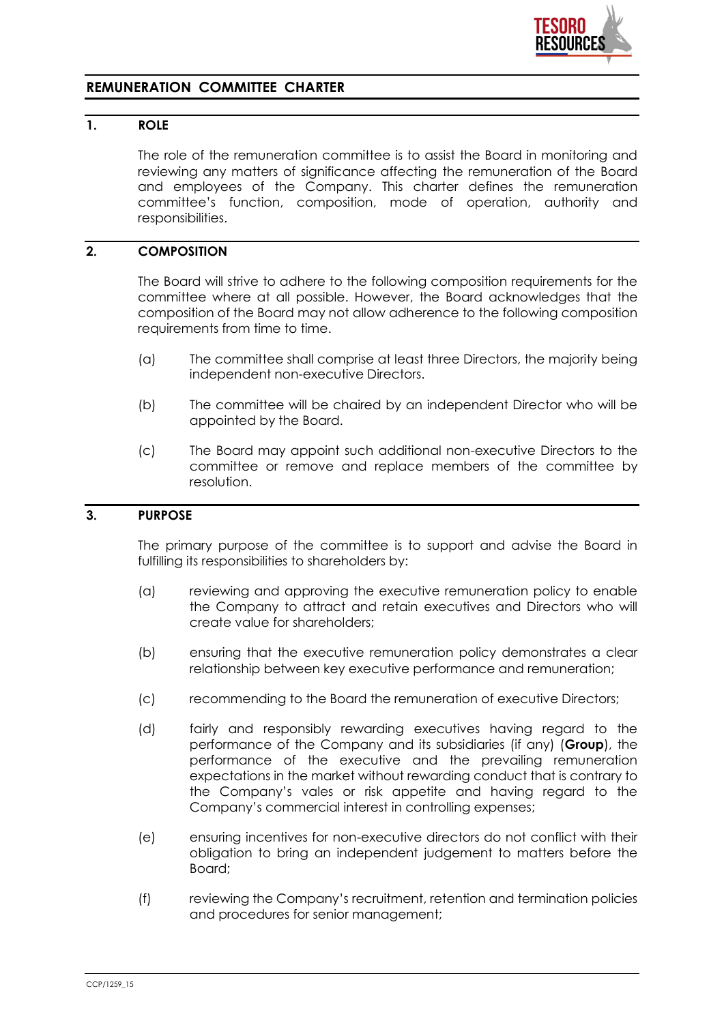

# **REMUNERATION COMMITTEE CHARTER**

# **1. ROLE**

The role of the remuneration committee is to assist the Board in monitoring and reviewing any matters of significance affecting the remuneration of the Board and employees of the Company. This charter defines the remuneration committee's function, composition, mode of operation, authority and responsibilities.

## **2. COMPOSITION**

The Board will strive to adhere to the following composition requirements for the committee where at all possible. However, the Board acknowledges that the composition of the Board may not allow adherence to the following composition requirements from time to time.

- (a) The committee shall comprise at least three Directors, the majority being independent non-executive Directors.
- (b) The committee will be chaired by an independent Director who will be appointed by the Board.
- (c) The Board may appoint such additional non-executive Directors to the committee or remove and replace members of the committee by resolution.

#### **3. PURPOSE**

The primary purpose of the committee is to support and advise the Board in fulfilling its responsibilities to shareholders by:

- (a) reviewing and approving the executive remuneration policy to enable the Company to attract and retain executives and Directors who will create value for shareholders;
- (b) ensuring that the executive remuneration policy demonstrates a clear relationship between key executive performance and remuneration;
- (c) recommending to the Board the remuneration of executive Directors;
- (d) fairly and responsibly rewarding executives having regard to the performance of the Company and its subsidiaries (if any) (**Group**), the performance of the executive and the prevailing remuneration expectations in the market without rewarding conduct that is contrary to the Company's vales or risk appetite and having regard to the Company's commercial interest in controlling expenses;
- (e) ensuring incentives for non-executive directors do not conflict with their obligation to bring an independent judgement to matters before the Board;
- (f) reviewing the Company's recruitment, retention and termination policies and procedures for senior management;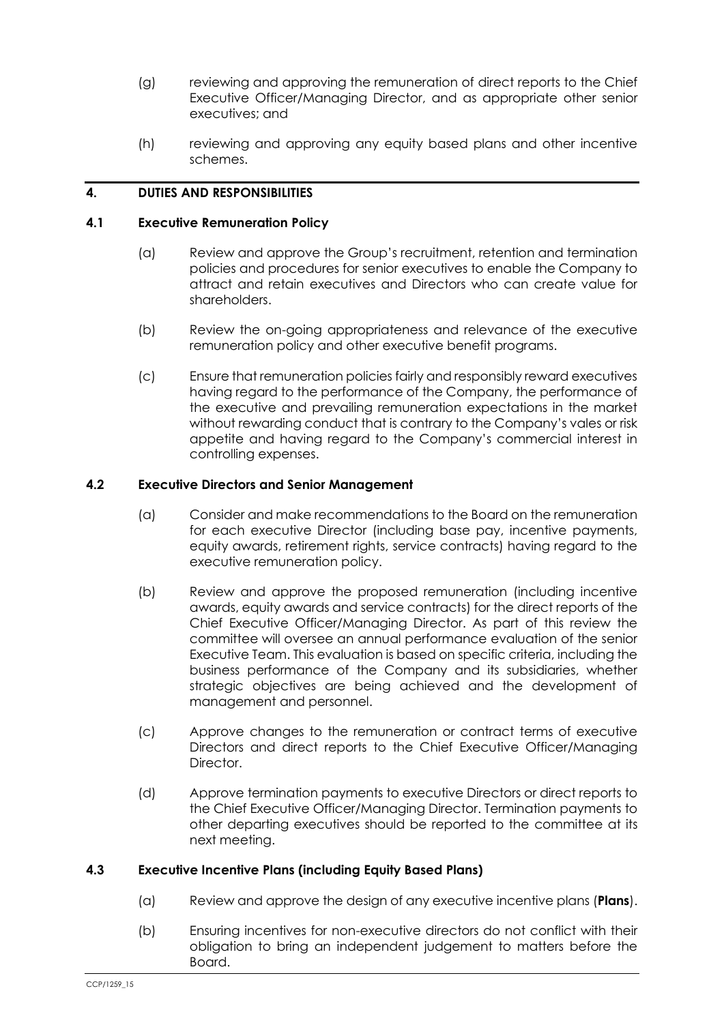- (g) reviewing and approving the remuneration of direct reports to the Chief Executive Officer/Managing Director, and as appropriate other senior executives; and
- (h) reviewing and approving any equity based plans and other incentive schemes.

## **4. DUTIES AND RESPONSIBILITIES**

#### **4.1 Executive Remuneration Policy**

- (a) Review and approve the Group's recruitment, retention and termination policies and procedures for senior executives to enable the Company to attract and retain executives and Directors who can create value for shareholders.
- (b) Review the on-going appropriateness and relevance of the executive remuneration policy and other executive benefit programs.
- (c) Ensure that remuneration policies fairly and responsibly reward executives having regard to the performance of the Company, the performance of the executive and prevailing remuneration expectations in the market without rewarding conduct that is contrary to the Company's vales or risk appetite and having regard to the Company's commercial interest in controlling expenses.

#### **4.2 Executive Directors and Senior Management**

- (a) Consider and make recommendations to the Board on the remuneration for each executive Director (including base pay, incentive payments, equity awards, retirement rights, service contracts) having regard to the executive remuneration policy.
- (b) Review and approve the proposed remuneration (including incentive awards, equity awards and service contracts) for the direct reports of the Chief Executive Officer/Managing Director. As part of this review the committee will oversee an annual performance evaluation of the senior Executive Team. This evaluation is based on specific criteria, including the business performance of the Company and its subsidiaries, whether strategic objectives are being achieved and the development of management and personnel.
- (c) Approve changes to the remuneration or contract terms of executive Directors and direct reports to the Chief Executive Officer/Managing Director.
- (d) Approve termination payments to executive Directors or direct reports to the Chief Executive Officer/Managing Director. Termination payments to other departing executives should be reported to the committee at its next meeting.

### **4.3 Executive Incentive Plans (including Equity Based Plans)**

- (a) Review and approve the design of any executive incentive plans (**Plans**).
- (b) Ensuring incentives for non-executive directors do not conflict with their obligation to bring an independent judgement to matters before the Board.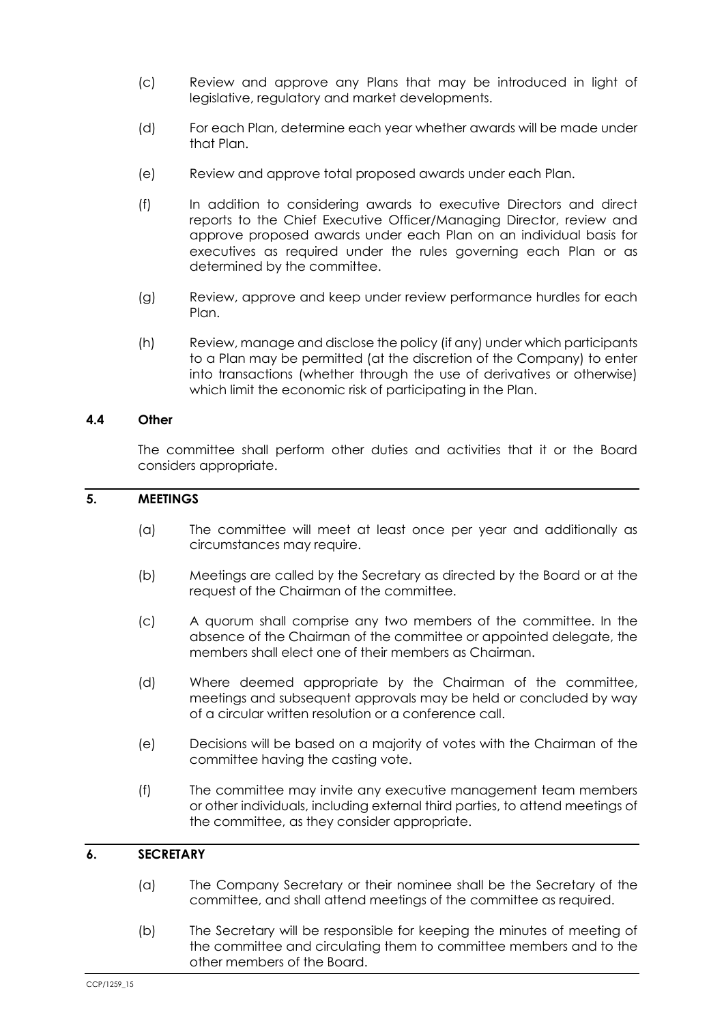- (c) Review and approve any Plans that may be introduced in light of legislative, regulatory and market developments.
- (d) For each Plan, determine each year whether awards will be made under that Plan.
- (e) Review and approve total proposed awards under each Plan.
- (f) In addition to considering awards to executive Directors and direct reports to the Chief Executive Officer/Managing Director, review and approve proposed awards under each Plan on an individual basis for executives as required under the rules governing each Plan or as determined by the committee.
- (g) Review, approve and keep under review performance hurdles for each Plan.
- (h) Review, manage and disclose the policy (if any) under which participants to a Plan may be permitted (at the discretion of the Company) to enter into transactions (whether through the use of derivatives or otherwise) which limit the economic risk of participating in the Plan.

## **4.4 Other**

The committee shall perform other duties and activities that it or the Board considers appropriate.

## **5. MEETINGS**

- (a) The committee will meet at least once per year and additionally as circumstances may require.
- (b) Meetings are called by the Secretary as directed by the Board or at the request of the Chairman of the committee.
- (c) A quorum shall comprise any two members of the committee. In the absence of the Chairman of the committee or appointed delegate, the members shall elect one of their members as Chairman.
- (d) Where deemed appropriate by the Chairman of the committee, meetings and subsequent approvals may be held or concluded by way of a circular written resolution or a conference call.
- (e) Decisions will be based on a majority of votes with the Chairman of the committee having the casting vote.
- (f) The committee may invite any executive management team members or other individuals, including external third parties, to attend meetings of the committee, as they consider appropriate.

### **6. SECRETARY**

- (a) The Company Secretary or their nominee shall be the Secretary of the committee, and shall attend meetings of the committee as required.
- (b) The Secretary will be responsible for keeping the minutes of meeting of the committee and circulating them to committee members and to the other members of the Board.